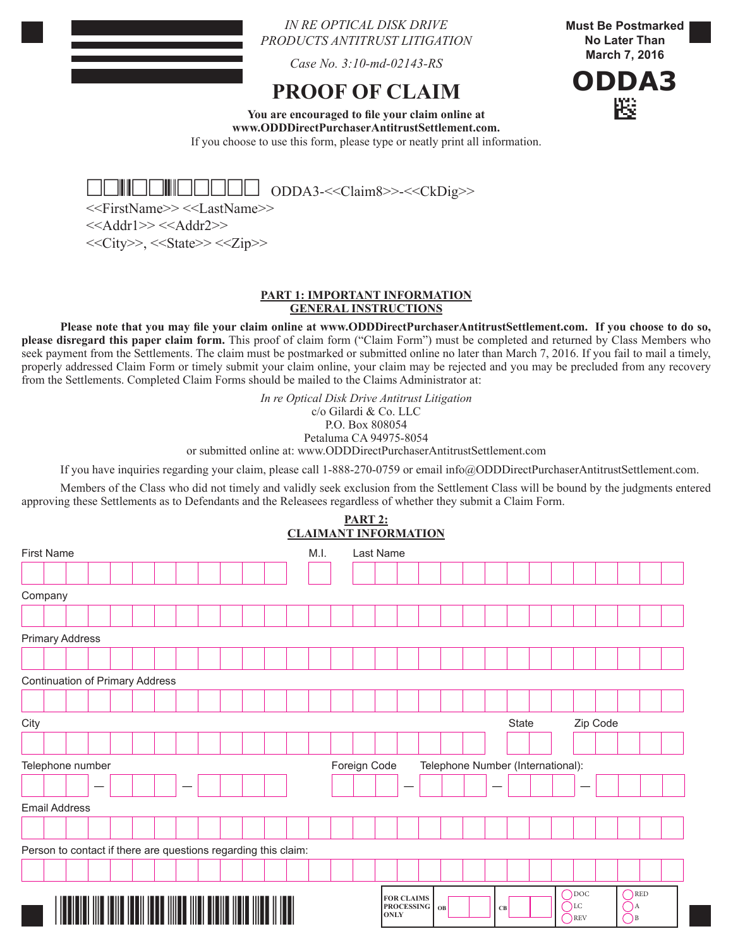## *IN RE OPTICAL DISK DRIVE PRODUCTS ANTITRUST LITIGATION*

*Case No. 3:10-md-02143-RS*

# **PROOF OF CLAIM**

**Must Be Postmarked No Later Than March 7, 2016**



**You are encouraged to file your claim online at www.ODDDirectPurchaserAntitrustSettlement.com.**  If you choose to use this form, please type or neatly print all information.



<<FirstName>> <<LastName>>  $<<$ Addr1>> $<<$ Addr2>>

 $<<$ City>>,  $<<$ State>> $<<$ Zip>>

#### **PART 1: IMPORTANT INFORMATION GENERAL INSTRUCTIONS**

**Please note that you may file your claim online at www.ODDDirectPurchaserAntitrustSettlement.com. If you choose to do so, please disregard this paper claim form.** This proof of claim form ("Claim Form") must be completed and returned by Class Members who seek payment from the Settlements. The claim must be postmarked or submitted online no later than March 7, 2016. If you fail to mail a timely, properly addressed Claim Form or timely submit your claim online, your claim may be rejected and you may be precluded from any recovery from the Settlements. Completed Claim Forms should be mailed to the Claims Administrator at:

> *In re Optical Disk Drive Antitrust Litigation* c/o Gilardi & Co. LLC P.O. Box 808054

Petaluma CA 94975-8054

or submitted online at: www.ODDDirectPurchaserAntitrustSettlement.com

If you have inquiries regarding your claim, please call 1-888-270-0759 or email info@ODDDirectPurchaserAntitrustSettlement.com.

Members of the Class who did not timely and validly seek exclusion from the Settlement Class will be bound by the judgments entered approving these Settlements as to Defendants and the Releasees regardless of whether they submit a Claim Form. **PART 2:**

|                                                                       |                                                                |  |  |  |  |  |  |  |                                         |  |  |  | <b>CLAIMANT INFORMATION</b> |  |       |             |                                        |  |    |          |    |  |  |  |                                                 |  |                                      |  |  |
|-----------------------------------------------------------------------|----------------------------------------------------------------|--|--|--|--|--|--|--|-----------------------------------------|--|--|--|-----------------------------|--|-------|-------------|----------------------------------------|--|----|----------|----|--|--|--|-------------------------------------------------|--|--------------------------------------|--|--|
| <b>First Name</b>                                                     |                                                                |  |  |  |  |  |  |  | Last Name<br>M.I.                       |  |  |  |                             |  |       |             |                                        |  |    |          |    |  |  |  |                                                 |  |                                      |  |  |
|                                                                       |                                                                |  |  |  |  |  |  |  |                                         |  |  |  |                             |  |       |             |                                        |  |    |          |    |  |  |  |                                                 |  |                                      |  |  |
|                                                                       | Company                                                        |  |  |  |  |  |  |  |                                         |  |  |  |                             |  |       |             |                                        |  |    |          |    |  |  |  |                                                 |  |                                      |  |  |
|                                                                       |                                                                |  |  |  |  |  |  |  |                                         |  |  |  |                             |  |       |             |                                        |  |    |          |    |  |  |  |                                                 |  |                                      |  |  |
|                                                                       | <b>Primary Address</b>                                         |  |  |  |  |  |  |  |                                         |  |  |  |                             |  |       |             |                                        |  |    |          |    |  |  |  |                                                 |  |                                      |  |  |
|                                                                       |                                                                |  |  |  |  |  |  |  |                                         |  |  |  |                             |  |       |             |                                        |  |    |          |    |  |  |  |                                                 |  |                                      |  |  |
|                                                                       | <b>Continuation of Primary Address</b>                         |  |  |  |  |  |  |  |                                         |  |  |  |                             |  |       |             |                                        |  |    |          |    |  |  |  |                                                 |  |                                      |  |  |
|                                                                       |                                                                |  |  |  |  |  |  |  |                                         |  |  |  |                             |  |       |             |                                        |  |    |          |    |  |  |  |                                                 |  |                                      |  |  |
| City                                                                  |                                                                |  |  |  |  |  |  |  |                                         |  |  |  |                             |  | State |             |                                        |  |    | Zip Code |    |  |  |  |                                                 |  |                                      |  |  |
|                                                                       |                                                                |  |  |  |  |  |  |  |                                         |  |  |  |                             |  |       |             |                                        |  |    |          |    |  |  |  |                                                 |  |                                      |  |  |
| Telephone number<br>Foreign Code<br>Telephone Number (International): |                                                                |  |  |  |  |  |  |  |                                         |  |  |  |                             |  |       |             |                                        |  |    |          |    |  |  |  |                                                 |  |                                      |  |  |
|                                                                       |                                                                |  |  |  |  |  |  |  |                                         |  |  |  |                             |  |       |             |                                        |  |    |          |    |  |  |  |                                                 |  |                                      |  |  |
|                                                                       | <b>Email Address</b>                                           |  |  |  |  |  |  |  |                                         |  |  |  |                             |  |       |             |                                        |  |    |          |    |  |  |  |                                                 |  |                                      |  |  |
|                                                                       |                                                                |  |  |  |  |  |  |  |                                         |  |  |  |                             |  |       |             |                                        |  |    |          |    |  |  |  |                                                 |  |                                      |  |  |
|                                                                       | Person to contact if there are questions regarding this claim: |  |  |  |  |  |  |  |                                         |  |  |  |                             |  |       |             |                                        |  |    |          |    |  |  |  |                                                 |  |                                      |  |  |
|                                                                       |                                                                |  |  |  |  |  |  |  |                                         |  |  |  |                             |  |       |             |                                        |  |    |          |    |  |  |  |                                                 |  |                                      |  |  |
|                                                                       |                                                                |  |  |  |  |  |  |  |                                         |  |  |  |                             |  |       |             |                                        |  |    |          |    |  |  |  |                                                 |  |                                      |  |  |
|                                                                       |                                                                |  |  |  |  |  |  |  | <u> IIII TIINI TIINI III III TII II</u> |  |  |  |                             |  |       | <b>ONLY</b> | <b>FOR CLAIMS</b><br><b>PROCESSING</b> |  | OB |          | CB |  |  |  | $\bigcap$ DOC<br>$\bigcap$ LC<br>$\bigcirc$ REV |  | $\bigcap$ RED<br>(A)<br>$\bigcirc$ B |  |  |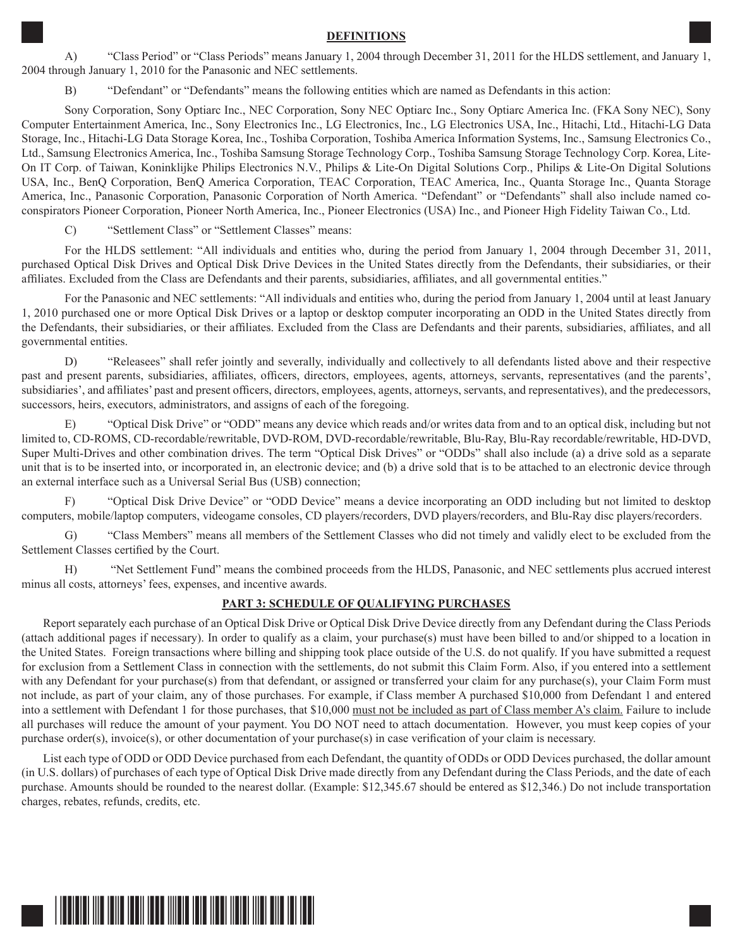#### **DEFINITIONS**

A) "Class Period" or "Class Periods" means January 1, 2004 through December 31, 2011 for the HLDS settlement, and January 1, 2004 through January 1, 2010 for the Panasonic and NEC settlements.

B) "Defendant" or "Defendants" means the following entities which are named as Defendants in this action:

Sony Corporation, Sony Optiarc Inc., NEC Corporation, Sony NEC Optiarc Inc., Sony Optiarc America Inc. (FKA Sony NEC), Sony Computer Entertainment America, Inc., Sony Electronics Inc., LG Electronics, Inc., LG Electronics USA, Inc., Hitachi, Ltd., Hitachi-LG Data Storage, Inc., Hitachi-LG Data Storage Korea, Inc., Toshiba Corporation, Toshiba America Information Systems, Inc., Samsung Electronics Co., Ltd., Samsung Electronics America, Inc., Toshiba Samsung Storage Technology Corp., Toshiba Samsung Storage Technology Corp. Korea, Lite-On IT Corp. of Taiwan, Koninklijke Philips Electronics N.V., Philips & Lite-On Digital Solutions Corp., Philips & Lite-On Digital Solutions USA, Inc., BenQ Corporation, BenQ America Corporation, TEAC Corporation, TEAC America, Inc., Quanta Storage Inc., Quanta Storage America, Inc., Panasonic Corporation, Panasonic Corporation of North America. "Defendant" or "Defendants" shall also include named coconspirators Pioneer Corporation, Pioneer North America, Inc., Pioneer Electronics (USA) Inc., and Pioneer High Fidelity Taiwan Co., Ltd.

C) "Settlement Class" or "Settlement Classes" means:

For the HLDS settlement: "All individuals and entities who, during the period from January 1, 2004 through December 31, 2011, purchased Optical Disk Drives and Optical Disk Drive Devices in the United States directly from the Defendants, their subsidiaries, or their affiliates. Excluded from the Class are Defendants and their parents, subsidiaries, affiliates, and all governmental entities."

For the Panasonic and NEC settlements: "All individuals and entities who, during the period from January 1, 2004 until at least January 1, 2010 purchased one or more Optical Disk Drives or a laptop or desktop computer incorporating an ODD in the United States directly from the Defendants, their subsidiaries, or their affiliates. Excluded from the Class are Defendants and their parents, subsidiaries, affiliates, and all governmental entities.

D) "Releasees" shall refer jointly and severally, individually and collectively to all defendants listed above and their respective past and present parents, subsidiaries, affiliates, officers, directors, employees, agents, attorneys, servants, representatives (and the parents', subsidiaries', and affiliates' past and present officers, directors, employees, agents, attorneys, servants, and representatives), and the predecessors, successors, heirs, executors, administrators, and assigns of each of the foregoing.

E) "Optical Disk Drive" or "ODD" means any device which reads and/or writes data from and to an optical disk, including but not limited to, CD-ROMS, CD-recordable/rewritable, DVD-ROM, DVD-recordable/rewritable, Blu-Ray, Blu-Ray recordable/rewritable, HD-DVD, Super Multi-Drives and other combination drives. The term "Optical Disk Drives" or "ODDs" shall also include (a) a drive sold as a separate unit that is to be inserted into, or incorporated in, an electronic device; and (b) a drive sold that is to be attached to an electronic device through an external interface such as a Universal Serial Bus (USB) connection;

F) "Optical Disk Drive Device" or "ODD Device" means a device incorporating an ODD including but not limited to desktop computers, mobile/laptop computers, videogame consoles, CD players/recorders, DVD players/recorders, and Blu-Ray disc players/recorders.

G) "Class Members" means all members of the Settlement Classes who did not timely and validly elect to be excluded from the Settlement Classes certified by the Court.

H) "Net Settlement Fund" means the combined proceeds from the HLDS, Panasonic, and NEC settlements plus accrued interest minus all costs, attorneys' fees, expenses, and incentive awards.

#### **PART 3: SCHEDULE OF QUALIFYING PURCHASES**

Report separately each purchase of an Optical Disk Drive or Optical Disk Drive Device directly from any Defendant during the Class Periods (attach additional pages if necessary). In order to qualify as a claim, your purchase(s) must have been billed to and/or shipped to a location in the United States. Foreign transactions where billing and shipping took place outside of the U.S. do not qualify. If you have submitted a request for exclusion from a Settlement Class in connection with the settlements, do not submit this Claim Form. Also, if you entered into a settlement with any Defendant for your purchase(s) from that defendant, or assigned or transferred your claim for any purchase(s), your Claim Form must not include, as part of your claim, any of those purchases. For example, if Class member A purchased \$10,000 from Defendant 1 and entered into a settlement with Defendant 1 for those purchases, that \$10,000 must not be included as part of Class member A's claim. Failure to include all purchases will reduce the amount of your payment. You DO NOT need to attach documentation. However, you must keep copies of your purchase order(s), invoice(s), or other documentation of your purchase(s) in case verification of your claim is necessary.

List each type of ODD or ODD Device purchased from each Defendant, the quantity of ODDs or ODD Devices purchased, the dollar amount (in U.S. dollars) of purchases of each type of Optical Disk Drive made directly from any Defendant during the Class Periods, and the date of each purchase. Amounts should be rounded to the nearest dollar. (Example: \$12,345.67 should be entered as \$12,346.) Do not include transportation charges, rebates, refunds, credits, etc.

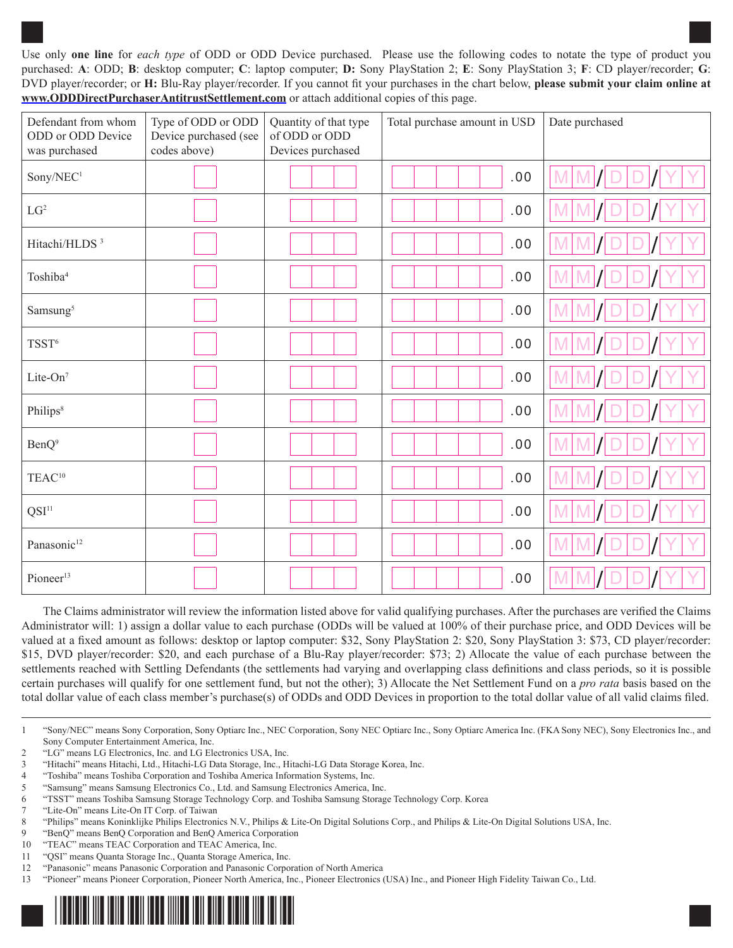Use only **one line** for *each type* of ODD or ODD Device purchased. Please use the following codes to notate the type of product you purchased: **A**: ODD; **B**: desktop computer; **C**: laptop computer; **D:** Sony PlayStation 2; **E**: Sony PlayStation 3; **F**: CD player/recorder; **G**: DVD player/recorder; or **H:** Blu-Ray player/recorder. If you cannot fit your purchases in the chart below, **please submit your claim online at www.ODDDirectPurchaserAntitrustSettlement.com** or attach additional copies of this page.

| Defendant from whom<br>ODD or ODD Device<br>was purchased | Type of ODD or ODD<br>Device purchased (see<br>codes above) | Quantity of that type<br>of ODD or ODD<br>Devices purchased | Total purchase amount in USD | Date purchased |  |  |  |
|-----------------------------------------------------------|-------------------------------------------------------------|-------------------------------------------------------------|------------------------------|----------------|--|--|--|
| Sony/NEC <sup>1</sup>                                     |                                                             |                                                             | .00                          |                |  |  |  |
| $LG^2$                                                    |                                                             |                                                             | .00                          |                |  |  |  |
| Hitachi/HLDS <sup>3</sup>                                 |                                                             |                                                             | .00                          |                |  |  |  |
| Toshiba <sup>4</sup>                                      |                                                             |                                                             | .00                          |                |  |  |  |
| Samsung <sup>5</sup>                                      |                                                             |                                                             | .00                          |                |  |  |  |
| TSST <sup>6</sup>                                         |                                                             |                                                             | .00                          |                |  |  |  |
| Lite-On <sup>7</sup>                                      |                                                             |                                                             | .00                          |                |  |  |  |
| Philips <sup>8</sup>                                      |                                                             |                                                             | .00                          |                |  |  |  |
| BenQ <sup>9</sup>                                         |                                                             |                                                             | .00                          |                |  |  |  |
| TEAC <sup>10</sup>                                        |                                                             |                                                             | .00                          |                |  |  |  |
| $\mathrm{QSI}^{11}$                                       |                                                             |                                                             | .00                          |                |  |  |  |
| Panasonic <sup>12</sup>                                   |                                                             |                                                             | .00                          |                |  |  |  |
| Pioneer <sup>13</sup>                                     |                                                             |                                                             | .00                          |                |  |  |  |

The Claims administrator will review the information listed above for valid qualifying purchases. After the purchases are verified the Claims Administrator will: 1) assign a dollar value to each purchase (ODDs will be valued at 100% of their purchase price, and ODD Devices will be valued at a fixed amount as follows: desktop or laptop computer: \$32, Sony PlayStation 2: \$20, Sony PlayStation 3: \$73, CD player/recorder: \$15, DVD player/recorder: \$20, and each purchase of a Blu-Ray player/recorder: \$73; 2) Allocate the value of each purchase between the settlements reached with Settling Defendants (the settlements had varying and overlapping class definitions and class periods, so it is possible certain purchases will qualify for one settlement fund, but not the other); 3) Allocate the Net Settlement Fund on a *pro rata* basis based on the total dollar value of each class member's purchase(s) of ODDs and ODD Devices in proportion to the total dollar value of all valid claims filed.

<sup>13</sup> "Pioneer" means Pioneer Corporation, Pioneer North America, Inc., Pioneer Electronics (USA) Inc., and Pioneer High Fidelity Taiwan Co., Ltd.



<sup>1</sup> "Sony/NEC" means Sony Corporation, Sony Optiarc Inc., NEC Corporation, Sony NEC Optiarc Inc., Sony Optiarc America Inc. (FKA Sony NEC), Sony Electronics Inc., and Sony Computer Entertainment America, Inc.

<sup>2</sup> "LG" means LG Electronics, Inc. and LG Electronics USA, Inc.

<sup>3</sup> "Hitachi" means Hitachi, Ltd., Hitachi-LG Data Storage, Inc., Hitachi-LG Data Storage Korea, Inc.

<sup>4</sup> "Toshiba" means Toshiba Corporation and Toshiba America Information Systems, Inc.

<sup>5</sup> "Samsung" means Samsung Electronics Co., Ltd. and Samsung Electronics America, Inc.

<sup>6</sup> "TSST" means Toshiba Samsung Storage Technology Corp. and Toshiba Samsung Storage Technology Corp. Korea

<sup>7</sup> "Lite-On" means Lite-On IT Corp. of Taiwan

<sup>8</sup> "Philips" means Koninklijke Philips Electronics N.V., Philips & Lite-On Digital Solutions Corp., and Philips & Lite-On Digital Solutions USA, Inc.

<sup>9</sup> "BenQ" means BenQ Corporation and BenQ America Corporation

<sup>10</sup> "TEAC" means TEAC Corporation and TEAC America, Inc.

<sup>11</sup> "QSI" means Quanta Storage Inc., Quanta Storage America, Inc.

<sup>12</sup> "Panasonic" means Panasonic Corporation and Panasonic Corporation of North America